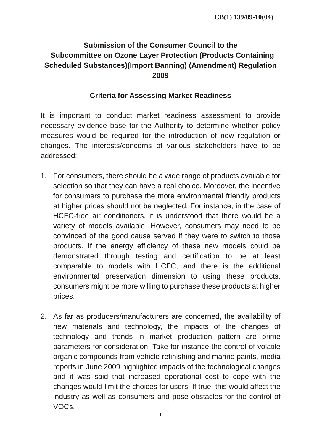## **Submission of the Consumer Council to the Subcommittee on Ozone Layer Protection (Products Containing Scheduled Substances)(Import Banning) (Amendment) Regulation 2009**

## **Criteria for Assessing Market Readiness**

It is important to conduct market readiness assessment to provide necessary evidence base for the Authority to determine whether policy measures would be required for the introduction of new regulation or changes. The interests/concerns of various stakeholders have to be addressed:

- 1. For consumers, there should be a wide range of products available for selection so that they can have a real choice. Moreover, the incentive for consumers to purchase the more environmental friendly products at higher prices should not be neglected. For instance, in the case of HCFC-free air conditioners, it is understood that there would be a variety of models available. However, consumers may need to be convinced of the good cause served if they were to switch to those products. If the energy efficiency of these new models could be demonstrated through testing and certification to be at least comparable to models with HCFC, and there is the additional environmental preservation dimension to using these products, consumers might be more willing to purchase these products at higher prices.
- 2. As far as producers/manufacturers are concerned, the availability of new materials and technology, the impacts of the changes of technology and trends in market production pattern are prime parameters for consideration. Take for instance the control of volatile organic compounds from vehicle refinishing and marine paints, media reports in June 2009 highlighted impacts of the technological changes and it was said that increased operational cost to cope with the changes would limit the choices for users. If true, this would affect the industry as well as consumers and pose obstacles for the control of VOCs.